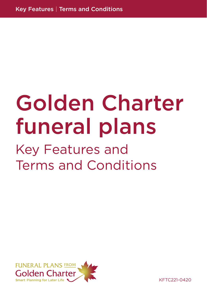# Golden Charter funeral plans

# Key Features and Terms and Conditions



KFTC221-0420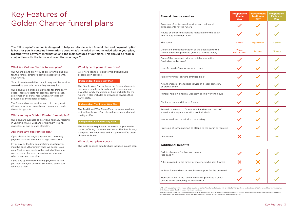### Key Features of Golden Charter funeral plans

The following information is designed to help you decide which funeral plan and payment option is best for you. It contains information about what's included or not included within your plan, together with payment information and the main features of our plans. This should be read in conjunction with the terms and conditions on page 7.

#### What is a Golden Charter funeral plan?

Our funeral plans allow you to pre-arrange, and pay for, the funeral director's services associated with your funeral.

Your chosen funeral director will carry out the services covered by your plan when they are required.

Our plans also include an allowance for third party costs. These are costs for essential services such as cremation or burial fees which aren't directly provided by the funeral director.

The funeral director services and third party cost allowance included in each plan type are shown in the table opposite.

#### Who can buy a Golden Charter funeral plan?

Our plans are available to everyone normally residing in England, Wales, Scotland or Northern Ireland, regardless of age or state of health.

#### Are there any age restrictions?

If you choose the single payment or 12 monthly payment options, there are no age restrictions.

If you pay by the low cost instalment option you must be aged 78 or under when we accept your plan. Restrictions apply to the period of time you can pay your plan over, dependent on your age when we accept your plan.

If you pay by the fixed monthly payment option you must be aged between 50 and 80 when you take out a plan.

#### What type of plans do we offer?

We offer a range of plans for traditional burial or cremation services:

#### **Independent Simple Way Plan**

The Simple Way Plan includes the funeral director's services, a simple coffin, a funeral procession and gives the family the choice of time and date for the funeral. It also includes an allowance towards third party costs.

#### **Independent Traditional Way Plan**

The Traditional Way Plan offers the same services as the Simple Way Plan plus a limousine and a high quality coffin.

#### **Independent Exclusive Way Plan**

The Exclusive Way Plan is our most comprehensive option, offering the same features as the Simple Way plan plus two limousines and a superior coffin, often chosen for burial.

#### What do our plans cover?

The table opposite details what's included in each plan.

#### **Funeral director services**

| <b>Funeral director services</b>                                                                              | Independent<br><b>Simple</b><br><b>Way</b> | Independent<br><b>Traditional</b><br><b>Way</b> | Independent<br><b>Exclusive</b><br><b>Way</b> |
|---------------------------------------------------------------------------------------------------------------|--------------------------------------------|-------------------------------------------------|-----------------------------------------------|
| Provision of professional services and making all<br>arrangements for the funeral                             |                                            |                                                 |                                               |
| Advice on the certification and registration of the death<br>and related documentation                        |                                            |                                                 |                                               |
| The coffin <sup>1</sup>                                                                                       | <b>Simple</b>                              | <b>High Quality</b>                             | <b>Superior</b>                               |
| Collection and transportation of the deceased to the<br>funeral director's premises (within a 25 mile radius) | Within<br>working hours                    | 24 hours                                        | 24 hours                                      |
| Care of the deceased prior to burial or cremation<br>(excluding embalming)                                    |                                            |                                                 |                                               |
| Use of chapel of rest or service rooms                                                                        |                                            |                                                 |                                               |
| Family viewing at any pre-arranged time <sup>2</sup>                                                          |                                            |                                                 |                                               |
| Arrangement of the funeral service at a local cemetery<br>or crematorium                                      |                                            |                                                 |                                               |
| Funeral held on a normal weekday, during working hours                                                        |                                            |                                                 |                                               |
| Choice of date and time of funeral                                                                            |                                            |                                                 |                                               |
| Funeral procession to funeral location (fees and costs of<br>a service at a separate location not included)   |                                            |                                                 |                                               |
| Hearse to a local crematorium or cemetery                                                                     |                                            |                                                 |                                               |
| Provision of sufficient staff to attend to the coffin as required                                             |                                            |                                                 |                                               |
| Limousines                                                                                                    | X                                          | One                                             | Two                                           |
| <b>Additional benefits</b>                                                                                    |                                            |                                                 |                                               |
| Built-in allowance for third party costs<br>(see page 4)                                                      |                                            |                                                 |                                               |
| A list provided to the family of mourners who sent flowers                                                    |                                            |                                                 |                                               |
| 24 hour funeral director telephone support for the bereaved                                                   |                                            |                                                 |                                               |
| Transportation to the funeral director's premises if death<br>occurs whilst on holiday in mainland UK         |                                            |                                                 |                                               |

#### **Additional benefits**

| Built-in allowance for third party costs<br>(see page 4)                                              |  |
|-------------------------------------------------------------------------------------------------------|--|
| A list provided to the family of mourners who sent flowers                                            |  |
| 24 hour funeral director telephone support for the bereaved                                           |  |
| Transportation to the funeral director's premises if death<br>occurs whilst on holiday in mainland UK |  |

1. All coffins supplied will be wood-effect quality or better. Your funeral director will provide further guidance on the types of coffin available within your plan. 2. Costs may apply if out-of-hours viewing is required.

Please note: Our plans don't include the purchase of a burial plot. Should you choose burial the plans include an allowance towards the opening of a new or existing grave. The purchase of a grave and any monumental work would need to be arranged separately.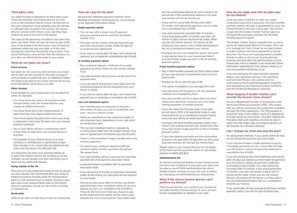#### Third party costs

Our plans include an allowance for third party costs. These are essential, non-funeral director services such as the cremation fees at a local crematorium or the costs of burial at a local cemetery, plus the minister or officiant's fee to perform the service. The funeral director cannot control these costs, and these fees need to be paid at the time of the funeral.

The value of the allowance included in your plan may grow over time. There will only be more to pay at the time of the funeral if the third party costs exceed the allowance when you buy your plan, or if the costs increase by more than the growth of your plan. If the actual third party costs are less than the allowance in your plan, no refund will be made to your estate.

#### What do our plans not cover?

#### **Extra services**

Our plans do not cover any extra services you might ask for that are not included in the table on page 3, such as flowers or additional cars. An additional charge will need to be paid for any extras and we will let you know this before we process your plan.

#### **Other charges**

Extra charges for your funeral plan may be asked for when, for example:

- You move home and, due to an increase in their transportation costs, the funeral director may charge an additional amount
- You move home and a new funeral director is appointed who may require additional costs
- The funeral and/or the place from which your body is collected is more than 25 miles from your funeral director's premises
- You or your family choose a crematorium which is more than 15 miles from your funeral director's premises
- The duration of your funeral service at a local cemetery or crematorium is significantly longer than average or at a venue that has additional hire costs over and above the officiant's fee

It is important you keep your personal details up to date with Golden Charter. By notifying us of any changes, we can update your plan and notify you if there are any additional charges.

#### **Dying outside of the UK**

Plans do not cover repatriation back to the UK should you die overseas. We recommend that your travel or medical insurance includes cover for transportation back to a UK mainland port or airport. However, your plan does cover transportation back to the funeral director's premises should you die whilst on holiday in mainland UK.

#### **Burial plots**

None of our plans include the purchase of a burial plot.

#### How can I pay for my plan?

We have four different payment methods. More detailed information, including prices, can be found in the Payment Information Sheet.

#### **Single payment option**

- You can pay with a single one-off payment and your payment will be paid into the Golden Charter Trust
- Your plan will be in place once we have sent you your plan documents, usually within 30 days of us receiving your application
- If you wish to cancel after 30 days, we'll refund the payment you've made less a cancellation fee of £249

#### **12 monthly payment option**

- Pay a minimum deposit of £49 plus 12 monthly payments by Direct Debit into the Golden Charter Trust
- Your plan benefits will be in place at the end of the payment term
- If you die before all payments have been paid, the outstanding balance will be requested from your family or estate
- If you wish to cancel after 30 days, we'll refund the payment you've made less a cancellation fee of £249

#### **Low cost instalment option**

- Your monthly payment depends on the term the number of years you wish to spread the cost over – and your choice of plan
- There are restrictions on the maximum length of your payment term, depending on your age when we accept your plan
- The low cost instalment option is payable by monthly Direct Debit into the Golden Charter Trust over an agreed term of between two and 30 years
- There is a 4% instalment charge included within the monthly payments
- You need to pay a minimum deposit of £49 and continue making monthly payments throughout the agreed term
- Your plan benefits will be in place at the end of the payment term if all payments have been made
- A payment break is available after 12 payments have been made
- If you die before 12 months of payments have been made, all the money you have paid will be returned to your estate
- Should you pass away after 12 months, but before payments have been completed, either (1) all sums paid by you less our cancellation fee of £249 or, if less (2) the total cost if had you chosen to pay by the single payment option will be used to pay towards the cost of your funeral. Your estate must

pay the outstanding balance for your funeral to be carried out. If the outstanding balance is not paid, your funeral will not be carried out

- If you wish to cancel after 30 days but within 12 months, we'll refund the payments you've made less a cancellation fee of £249
- Your plan cannot be cancelled after 12 months. If you stop paying after 12 months, your plan will remain in place and no refund will be made. When you die, the funeral director will receive all the money you have paid in, less a £249 administration fee, as a contribution towards your funeral
- Paying by the low cost instalment option will result in you paying more for your funeral plan than if you had chosen single payment or the 12 monthly payment option

#### **Fixed monthly payment option**

- Pay a fixed monthly payment by Direct Debit based on your age (at time of application) and choice of funeral plan
- Payable for life or until the age of 90
- This option is available if you are aged 50 to 80
- Your payments will be paid to a UK life assurance company and managed by them
- Your plan benefits will be in place after two years' consecutive payments, however you must keep making payments to remain covered
- If you die within the first two years of the plan, we will return 120% of all payments made to your funeral director as a contribution towards funeral costs and your family or estate pays the rest
- Paying by the fixed monthly payment option may result in you paying more for your funeral plan than if you had chosen single payment or the 12 monthly payment option
- If you stop making payments and the outstanding amount is not paid within 30 days then we will cancel your plan and you will not get any money back

Please speak to your funeral director for full details of the fixed monthly payment option or call Golden Charter on 0800 833 800.

#### **Administration fee**

As well as covering the delivery of your funeral as per the terms and conditions of your plan, your plan price includes a one-off £249 administration fee which Golden Charter receives to cover the cost of setting up, managing and administering your funeral plan.

#### What if the chosen funeral director can't perform my funeral?

If the funeral director can't perform your funeral we will select another funeral director to carry out your funeral arrangements as detailed in your plan.

#### How do you make sure that my plan pays for my funeral?

Once your plan is paid for (or after two years' consecutive payments if paying by the fixed monthly payment option), the plan is guaranteed to cover the funeral director's services in your plan. Your money is paid into the Golden Charter Trust or paid to a UK-based life assurance company for the fixed monthly payment option. The Golden Charter Trust is separate from us and is run by an independent Board of Trustees. Their role

is to manage the Trust's funds for our plan holders in order to deliver the future payments to funeral directors. The Trust can make payments to Golden Charter to allow us to run our funeral planning business and look after the administration of your funeral plan until it is needed. If you would like further information regarding the Trust, please contact us or visit www.goldenchartertrust.co.uk

If you are paying by the fixed monthly payment option, your payments will buy a life assurance contract with Phoenix Life Limited which is authorised by the Prudential Regulation Authority and regulated by the Financial Conduct Authority and the Prudential Regulation Authority.

### What happens if Golden Charter can't provide the funeral I have chosen?

We are a Registered Provider of funeral plans with the Funeral Planning Authority (FPA). This means that you will be covered by the protections available through the FPA's regulations. The FPA pledges to customers that, in the unlikely event of a Registered Provider going out of business, the other Registered Providers shall work together and look at ways in which the FPA might help in arranging delivery of the funerals of customers affected.

#### Can I change my mind and stop the plan?

For all payment methods, if you cancel within 30 days we will refund the payment you have made.

If you choose to make a single payment or pay by 12 monthly payments and you cancel after 30 days, you will receive a refund of payments made less a cancellation fee of £249.

If you are paying by low cost instalments and cancel after 30 days but before you have made 12 payments, you will receive a refund of payments made less a cancellation fee of £249. Your plan cannot be cancelled after 12 months. If you stop paying after 12 months, your plan will remain in place and no refund will be made. When you die, the funeral director will receive all the money you have paid in, less the £249 administration fee, as a contribution towards your funeral.

If you cancel after 30 days and pay by the fixed monthly payment option, you will not get anything back.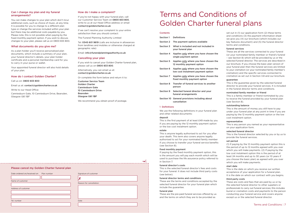#### Can I change my plan and my funeral arrangements?

You can make changes to your plan which don't incur additional costs, such as choice of music, at any time. It is possible for you to change to a different plan type or change the services included within your plan but there may be additional costs payable by you. Please note, this is not possible when paying by the fixed monthly payment option. If you wish to discuss changes to your plan, please call us on 0800 833 800.

#### What documents do you give me?

As a plan holder you'll receive personalised plan documents, which include a summary of your plan, your funeral director's details, your plan holder certificate and a personal membership card for you to carry in your purse or wallet.

Your appointed funeral director will also hold details of your plan.

#### How do I contact Golden Charter?

Call us on: 0800 833 800

Email us at: contact@goldencharter.co.uk

Write to our Head Office:

Canniesburn Gate, 10 Canniesburn Drive, Bearsden, Glasgow G61 1BF

| Date ordered on/received on | Plan number | Signature of customer   |
|-----------------------------|-------------|-------------------------|
|                             |             |                         |
| Name of customer            |             |                         |
|                             |             | Reason for cancellation |
| Address of customer         |             |                         |
|                             |             |                         |
| Tel. number                 |             | Date                    |
|                             |             |                         |

#### How do I make a complaint?

If you're not happy with your funeral plan, call our Customer Service Team on 0800 833 800, write to us at our Head Office address or email contact@goldencharter.co.uk

If we can't resolve your complaint to your entire satisfaction then you should contact:

The Funeral Planning Authority Limited

Tel: 0345 601 9619 (calls are inclusive in allowances from landlines and mobiles or otherwise charged at geographic rate)

Email: info@funeralplanningauthority.co.uk

#### Cancelling your plan

If you wish to cancel your Golden Charter funeral plan, please call us on 0800 833 800.

Alternatively, you can email us at: contact@goldencharter.co.uk

Or complete the form below and return it to:

Customer Service Team Golden Charter Canniesburn Gate 10 Canniesburn Drive Bearsden Glasgow G61 1BF

We recommend you obtain proof of postage.

#### Please cancel my Golden Charter funeral plan

# Terms and Conditions of Golden Charter funeral plans

| <b>Contents</b>  |                                                                              |  |  |
|------------------|------------------------------------------------------------------------------|--|--|
| Section 1        | <b>Definitions</b>                                                           |  |  |
| Section 2        | The payment options available                                                |  |  |
| Section 3        | What is included and not included in<br>your funeral plan                    |  |  |
| <b>Section 4</b> | Applies only where you have chosen the<br>single payment option              |  |  |
| Section 5        | Applies only where you have chosen the<br>12 monthly payment option          |  |  |
| Section 6        | Applies only where you have chosen the<br>low cost instalment payment option |  |  |
| Section 7        | Applies only where you have chosen the<br>fixed monthly payment option       |  |  |
| Section 8        | Transfer of funeral services to another<br>person                            |  |  |
| Section 9        | Selected funeral director and your<br>funeral arrangements                   |  |  |
| Section 10       | General provisions including about<br>cancellation                           |  |  |
| 1 Definitions    |                                                                              |  |  |

We use the following definitions in your funeral plan and other related documents:

#### deposit

This is the first payment of at least £49 made by you if you are paying by the 12 monthly payment option or the low cost instalment option.

#### estate

 $\prec$ 

This is anyone legally authorised to act for you after your death. This term also covers anyone legally authorised to act for your nominated family member if you choose to transfer your funeral service benefits (see Section 8).

#### fixed monthly payment

If paying by the fixed monthly payment option, this is the amount you will pay each month which will be used to purchase the life assurance policy referred to in Section 7.

#### funeral director's costs

This is the selected funeral director's fees and costs for your funeral. It does not include third party costs (see below).

#### funeral director terms and conditions

These are the terms and conditions accepted by the selected funeral director for your funeral plan which include the guarantee.

#### funeral plan

These are the pre-paid funeral services offered by us and the terms on which they are to be provided as

set out in (1) our application form (2) these terms and conditions (3) the payment information sheet we give you (4) our brochure (which includes our key features document) and (5) the funeral director terms and conditions.

#### funeral services

These are all the services connected to your funeral (or your nominated family member or friend's funeral – see Section 8) which will be provided by us or the selected funeral director. The services are described in our brochure. If you choose the basic plan version of your funeral plan then the funeral services are limited to your cremation (or your nominated family member's cremation) and the specific services connected to cremation as set out in Section 3.8 and our brochure. guarantee

This is the guarantee given by the selected funeral director to provide your funeral services. It is included in the funeral director terms and conditions.

#### nominated family member or friend

This is a family member or friend nominated by you to receive the funeral provided by your funeral plan (see Section 8).

#### outstanding balance

This is the amount of money you still have to pay under your funeral plan at any point in time if you are paying by the 12 monthly payment option or the low cost instalment option.

#### representative

This is any person you named as your representative on your application form.

#### selected funeral director

This is the funeral director selected by you or by us to provide the funeral services.

#### set period

(1) If paying by the 12 monthly payment option this is the period of up to 12 months agreed with you over which you will make payments. (2) If paying by the low cost instalment option this is the period of at least 24 months and up to 30 years (or 10 years if you choose the basic plan) as agreed with you over which you will make payments.

start date

This is the date on which you receive our written acceptance of your application for a funeral plan. It is the date on which our contract with you begins.

#### third party costs

These are costs and fees that are paid by us or by the selected funeral director to other suppliers or professionals to carry out funeral services; this includes burial or cremation costs and payments to the person conducting your funeral service and covers anyone except us or the selected funeral director.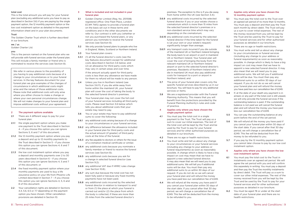#### total cost

This is the total amount you will pay for your funeral plan (excluding any additional sums you have to pay as described in Section 3.6) if you are paying by the single payment option, the 12 monthly payment option or the low cost instalment option as detailed in the payment information sheet and in your plan documents.

### Trust

The Golden Charter Trust which is further described in our brochure.

### we / us

Golden Charter Ltd.

#### you

This is the person named on the funeral plan who we will provide with funeral services under the funeral plan. This will include a family member or friend who is nominated to receive the services (see Section 8).

We refer in various places to the possibility of you having to pay additional costs because of a change to your circumstances or to your funeral services. In the key features document for your funeral plan we give examples of the changes of circumstance in which additional costs might arise and the nature of those additional costs. Please note that additional costs will only arise where you either choose to make a change or where your own personal circumstances change. We will not make changes to your funeral plan and impose additional costs without your agreement.

- 2.1 There are 4 different ways to pay for your funeral plan:
- 2.1.1 the single payment option where you make one payment to the Trust described in Section 4 – if you choose this option you can ignore Sections 5, 6 and 7 of this document;
- 2.1.2 the 12 monthly payment option where you pay a deposit and up to 12 monthly payments to the Trust described in Section 5 – if you choose this option you can ignore Sections 4, 6 and 7 of this document;
- 2.1.3 the low cost instalment option where you pay a deposit and monthly payments over 2 to 30 years described in Section 6 – if you choose this option you can ignore Sections 4, 5 and 7 of this document; or
- 2.1.4 the fixed monthly payment option where your monthly payments are used to buy a life assurance policy on your life from Phoenix Life Limited described in Section 7 – if you choose this option you can ignore Sections 4, 5, 6 and 8 of this document.
- 2.2 Your cancellation rights are detailed in Sections 4.4, 5.6, 6.5 or 7.7 depending on the payment option you have chosen. Other cancellation provisions are detailed in Section 10.

#### 2 The payment options available

#### 3 What is included and not included in your funeral plan

- 3.1 Golden Charter Limited (Reg. No. 2511598; registered office: One Fleet Place, London EC4M 7WS) agrees to provide a funeral plan on the basis set out in these terms and conditions and in the other documents we refer to. Our contract is with you (whether or not you purchased the funeral plan), or any person you nominate to receive the funeral services (see Section 8).
- **3.2** We only provide funeral plans to people who live in England, Wales, Scotland or Northern Ireland.
- 3.3 Your funeral plan covers:
- 3.3.1 (1) all the funeral director's costs (see the key features document) except for additional costs described in Section 3.6 below; and (2) an allowance for third party costs which may vary in certain areas and over time.

If the amount actually spent for third party costs is less than any allowance we have made for them no refund will be made to any person. 5.1 You must pay the total cost to the Trust over an agreed set period of no more than 12 months. You must pay a deposit and then pay the Trust each month by direct debit. The Trust will pay us a sum to cover initial expenses. The rest of the money received from you will be kept by the Trust and be used by the Trust to pay for your funeral services and for other authorised purposes as detailed in our brochure.

5.2 There are no age or health restrictions.

- 3.4 Unless you live in Northern Ireland (see Section 3.6.11), if you die while away from home within the mainland UK, your funeral plan will cover the cost of taking the body to the selected funeral director's premises.
- 3.5 Your funeral plan may not cover the full cost of your funeral services including all third party costs. Please read Section 3.6 below which tells you about additional costs that your estate may need to pay.
- 3.6 You or your estate may have to pay additional sums to cover the following:
- 3.6.1 any additional costs arising because of a change to your circumstances or your funeral services;
- 3.6.2 any difference between the allowance included in your funeral plan for third party costs and the actual amount (if greater) of third party costs at the time of the funeral;
- **3.6.3** any fee payable to doctors or others for the issue of a cremation medical certificate or similar;
- 3.6.4 any additional costs because you nominate a family member or friend to receive the funeral services (see Section 8);
- 3.6.5 any additional costs because you ask for a change in selected funeral director (see Section 9.2);
- 3.6.6 any additional VAT due if HMRC rules change (see Section 10.8);
- **3.6.7** any sum due because the total cost has not been fully paid or because any fixed monthly payments have not been paid;
- 3.6.8 any additional costs incurred by the selected funeral director in relation to transport to and/ or from (1) the place at which your funeral is carried out and/or (2) the place from which the body is collected, if these are more than 25 miles from the selected funeral director's

5.3 You must write and tell us about any change to your circumstances or funeral services (including any change to your address or funeral requirements) as soon as reasonably possible. A change which is likely to have a big impact on cost may mean that we have to appoint a new selected funeral director. It may also mean that we will need you to pay additional sums. We will tell you if additional sums will be due. You must then pay any additional sums to us within 30 days of our request. If you do not do so we will cancel your funeral plan and will refund the money you have paid less our cancellation fee of £249.

5.5 You can pay the outstanding balance at any point before the end of the set period.

5.6 We will refund all the money you have paid if you cancel your funeral plan within 30 days of the start date. If you cancel after that 30 day period, we will charge a cancellation fee of £249. This fee will be deducted from the money to be refunded to you.

5.7 If you pay by the 12 monthly payment option you cannot later choose to pay by our low cost instalment option.

premises. The exception to this is if you die away from home within the UK (see Section 3.4);

> 6.1 You must pay the total cost to the Trust in instalments over an agreed set period. We will agree the set period with you and will confirm this separately in writing. You must pay a deposit and then pay the Trust the monthly instalments by direct debit. The Trust will pay us a sum to cover our other initial expenses. The rest of the money received from you will be kept by the Trust and be used by the Trust to pay for your funeral services and for other authorised purposes as detailed in our brochure.

- 3.6.9 any additional costs incurred by the selected funeral director if you or your estate choose a crematorium which is more than 15 miles from the selected funeral director's premises or a non-standard service time which may vary depending on the crematorium;
- 3.6.10 any additional costs incurred by the selected funeral director if the time taken for the funeral is (at your own or your estate's request) significantly longer than average;
- 3.6.11 any transport costs incurred if you die outside of the mainland UK or Northern Ireland bringing the body back to an airport or port in mainland UK or Northern Ireland. Your funeral plan will cover the cost of bringing the body from the relevant mainland UK or Northern Ireland airport or port to the selected funeral director's premises. Residents of Northern Ireland who die in mainland UK must also pay additional costs for transport to a port or airport in Northern Ireland; and
- **3.7** The price of your funeral plan covers only the specific funeral services described by us in our brochure. You will have to pay for any additional services or items.
- 3.8 We are a registered provider with the Funeral Planning Authority. This means that you will benefit from the protections provided by the Funeral Planning Authority's rules and code of practice.
- 4 Applies only where you have chosen the single payment option
- 4.1 You must pay the total cost in a single payment to the Trust. The Trust will pay us a sum to cover our initial expenses. The rest of the total cost will be kept by the Trust and be used by the Trust to pay for your funeral services and for other authorised purposes as detailed in our brochure.
- 4.2 There are no age or health restrictions.
- 4.3 You must write and tell us about any change to your circumstances or your funeral services (including any change to your address or funeral requirements) as soon as reasonably possible. A change which is likely to have a big impact on cost may mean that we have to appoint a new selected funeral director. It may also mean that we will need you to pay additional sums. We will tell you if additional sums will be due. You must then pay any additional sums to us within 30 days of our request. If you do not do so we will cancel your funeral plan and will refund the money you have paid less our cancellation fee of £249.
- 4.4 We will refund all the money you have paid if you cancel your funeral plan within 30 days of the start date. If you cancel after that 30 day period, we will charge a cancellation fee of £249. This fee will be deducted from the money to be refunded to you.

#### 5 Applies only where you have chosen the 12 monthly payment option

5.4 If, at the date of your death any payment is in arrears or any part of the total cost is still unpaid, we will only provide the funeral services if the outstanding balance is paid. If the outstanding balance is not paid we will cancel the funeral plan and will refund the money you have paid less our cancellation fee of £249.

#### 6 Applies only where you have chosen the low cost instalment option

6.2 You must be aged 78 or under at the start date of your funeral plan and there are no health restrictions.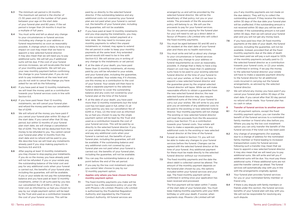- 6.3 The minimum set period is 24 months. The maximum set period is the shorter of (1) 30 years and (2) the number of full years between your age on the start date of your funeral plan and 80 years. If the set period is longer than 24 months it must be a multiple of full years.
- 6.4 You must write and tell us about any change to your circumstances or funeral services (including any change to your address or funeral requirements) as soon as reasonably possible. A change which is likely to have a big impact on cost may mean that we have to appoint a new selected funeral director. It may also mean that we will need you to pay additional sums. We will tell you if additional sums will be due. If the cost of your funeral services increases, we will recalculate the level of your monthly payments. We will tell you your new monthly payment before confirming the change to your funeral plan. If you do not wish to pay instalments at the new level and you do not wish to cancel the change you have asked for we will do the following:
- 6.4.1 If you have paid at least 12 monthly instalments, we will treat the money paid as a contribution towards your funeral services costs in line with Section 6.6.
- 6.4.2 If you have paid fewer than 12 monthly instalments, we will cancel your funeral plan and refund the money paid less our cancellation fee of £249.
- 6.5 We will refund all the money you have paid if you cancel your funeral plan within 30 days of the start date. If you cancel after that 30 day period, but within 12 months of your funeral plan start date, we will charge a cancellation fee of £249. This fee will be deducted from the money to be refunded to you. You cannot cancel your funeral plan after 12 months from the start date and no refund will be paid to you. We describe how we will treat any instalments already paid if you stop making payments in Sections 6.6 and 6.9.
- 6.6 After paying at least 12 monthly instalments you may choose to stop paying your instalments. If you do so the money you have already paid will not be refunded. If you or your estate pay the outstanding balance of the total cost and pay for any additional costs when your funeral is carried out, the benefits of your funeral plan, including the guarantee, will still be available. If you or your estate do not pay the outstanding balance and you have paid at least 12 monthly instalments, either (1) all sums paid by you less our cancellation fee of £249 or, if less, (2) the total cost as informed by us had you chosen to pay by our single payment option will be kept by the Trust and used as a contribution towards the cost of your funeral services. This will be
- 6.7 If you have paid at least 12 monthly instalments and you stop paying the instalments, you may, on one occasion only, restart payment at a later date. We may need to increase your monthly payments to reflect the unpaid instalments or, instead, may agree to extend the set period in order to keep your monthly payments at the same level. Any extended period would still need to be in line with Section 6.3. We will advise you in writing of any change to the instalments or set period.
- **6.8** If, at the date of your death, you have paid fewer than 12 monthly instalments, all money paid by you will be refunded to your estate, and your funeral plan, including the guarantee, will be cancelled. Your estate may, if it chooses, use this money as a contribution to the cost of your funeral. Your estate will then have to make a separate payment to the selected funeral director to cover the outstanding balance and any costs not covered by your funeral plan at the time of the funeral.
- 6.9 If, at the date of your death, you have paid more than 12 monthly instalments but the total cost has not been paid in full, either (1) all sums paid by you less our cancellation fee of £249 or, if less, (2) the total cost as informed by us had you chosen to pay by the single payment option will be kept by the Trust and used as a contribution towards the cost of your funeral services. This will be paid by us directly to the selected funeral director. If you or your estate pay the outstanding balance and pay any additional costs when your funeral is carried out, the benefits of your funeral plan, including the guarantee, will still be available. If the outstanding balance and any additional costs not covered by your funeral plan are not paid when your funeral is carried out, the benefits of your funeral plan, including the guarantee, will not be available.
- 6.10 You can pay the outstanding balance at any point before the end of the set period.
- 6.11 If you pay by the low cost instalment option you cannot later choose to pay by our 12 monthly payment option.

7.1 The fixed monthly payments you make will be used to buy a life assurance policy on your life with Phoenix Life Limited. Phoenix Life Limited is authorised by the Prudential Regulation Authority and regulated by the Financial Conduct Authority. All funeral services are

paid by us directly to the selected funeral director. If the outstanding balance and any additional costs not covered by your funeral plan are not paid when your funeral is carried out, the benefits of your funeral plan, including the guarantee, will not be available.

- 7.2 You must be aged between 50 and 80 and a UK resident at the start date of your funeral plan and there are no health restrictions.
- 7.3 You must write and tell us about any change to your circumstances or funeral services (including any change to your address or funeral requirements) as soon as reasonably possible. A change that is likely to have a big impact on cost may mean that (1) additional sums have to be paid to your existing selected funeral director at the time of your funeral to carry out your wishes, or that (2) we have to appoint a new selected funeral director and the guarantee given by the original selected funeral director will lapse. While we will make reasonable efforts to obtain a guarantee from the new selected funeral director, the new selected funeral director may also require additional sums at the time of your funeral to carry out your wishes. We will write to you and give you an estimate of any additional costs to be paid to the existing or new selected funeral director. Your monthly payments will not change. The existing or new selected funeral director will treat the proceeds from the life assurance policy (see Section 7.1) as a contribution towards your funeral costs. Your estate will have to make a separate payment for any additional costs to the existing or new selected funeral director at the time of the funeral.
- 7.4 Except as stated in Section 7.3, you will not be able to make any changes to your funeral services before the funeral. Changes can be agreed with the selected funeral director at the time of your funeral. Any additional payment for these must be made directly to the selected funeral director without our involvement.
- 7.5 The fixed monthly payments and the date the direct debit is collected cannot be altered. The amount of the monthly payment depends on the funeral plan chosen by you, the options included within your funeral services and your age. The fixed monthly payment will be confirmed in writing once your application has been received and processed.

7.6 If you have paid less than 24 fixed monthly payments at the date of your death, the funeral services, including the guarantee, will not be available. Instead, provided that all the fixed monthly payments due at the date of death have been paid we will pay a sum equal to 120% of the monthly payments actually paid to (1) the selected funeral director as a contribution towards your funeral costs, or (2) your estate, if confirmed in writing. If we pay the money to the selected funeral director your estate will have to make a separate payment directly to the funeral director for all additional costs incurred in carrying out the funeral arrangements, as advised by the selected funeral director.

7.7 We will refund any money you have paid if you cancel your funeral plan within 30 days of the start date. If you cancel after that 30 day period no refund will be made. Your funeral plan has no cash in value.

8.1 For all payment options, except the fixed monthly payment option, you can transfer the benefit of the funeral services to a nominated family member or friend who dies before you. Where you pay by the low cost instalment option you can only transfer the benefit of the funeral services if the total cost has been paid.

#### 7 Applies only where you have chosen the fixed monthly payment option

8.2 Any change of arrangements (for example, due to a change of address for the nominated family member or friend leading to increased transportation costs) for funeral services following such a transfer may mean that we have to appoint a new selected funeral director. It may also mean that we will need you to pay additional sums. We will write and tell you if additional sums will be due. You must pay these additional sums. If these additional sums are not paid the transfer cannot go ahead. The funeral services will automatically stay with you in line with the arrangements originally agreed.

8.3 Your funeral plan provides funeral services for you or your nominated family member or friend only.

8.4 If there is any dispute with family members or friends under this section, the funeral services benefits of your funeral plan will stay with you. We will not be responsible for resolving any such dispute.

arranged by us and will be provided by the selected funeral director. We will be the beneficiary of that policy, not you or your estate. The proceeds of the life assurance policy will belong to us. We will use the proceeds to pay for your funeral services. You (or any person paying for the funeral plan for you) will need to set up a direct debit in favour of Phoenix Life Limited who will collect the fixed monthly payments.

The first payment will be taken within 7 weeks of the start date of your funeral plan. You must keep making monthly payments until your 90th birthday or until your death, if sooner, when payments stop. Phoenix Life Limited will tell

you if any monthly payments are not made on the due date(s). They will try to collect the outstanding amount. If they receive the money within 30 days of the due date your funeral plan will be unaffected. If the outstanding amount is not received within 30 days you will be sent a reminder. If the outstanding amount is not paid within 30 days, then we will cancel your funeral plan and you will not get any money back.

#### 8 Transfer of funeral services to another person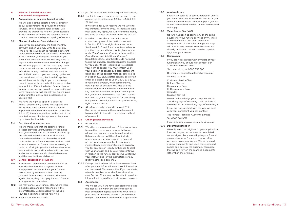Terms and Conditions | 13

#### 9 Selected funeral director and your funeral arrangements

#### 9.1 Appointment of selected funeral director

We will appoint the selected funeral director as our subcontractor to provide the funeral services. The selected funeral director will provide the guarantee. We will use reasonable efforts to make sure that the selected funeral director provides the highest quality of service.

#### 9.2 Change of selected funeral director

9.3 We have the right to appoint a selected funeral director if (1) you do not appoint one, or (2) there is no selected funeral director appointed because of the operation of Section 9.2, or (3) there is any failure on the part of the selected funeral director appointed by you or by us (see Section 9.4).

Unless you are paying by the fixed monthly payment option you may write to us at any time prior to your death to request a different selected funeral director. We will use reasonable efforts to meet your request and will let you know if we are able to do so. You may have to pay an additional sum because of this change. We will notify you of this. You must pay these sums or we will cancel the funeral plan and refund the money paid less our cancellation fee of £249 unless, if you are paying by the low cost instalment option, Section 6.4.1 applies. We will have no liability to you if the change cannot reasonably be made. If it is not possible to appoint a different selected funeral director for any reason, or you do not pay any additional sums required, we will cancel your funeral plan and refund the money paid as described in Section 10.2.

10.2.3 you fail to pay any sums which are due by you as referred to in Sections 4.3, 5.3, 5.4, 6.4, 6.9, 7.5 and 9.2.

#### 9.4 Provision of funeral services

We will make sure that the selected funeral director provides your funeral services in line with your funeral plan. In the event of failure by the selected funeral director an alternative selected funeral director, chosen by us, will provide the same funeral services. Failure could include the selected funeral director ceasing to trade or refusing to provide the funeral services to our satisfaction and/or in line with payment and other arrangements in place between us and the selected funeral director.

- 10.3 In order to cancel our contract you can contact us by any of the methods set out in Section 10.9. Your rights to cancel under Sections 4, 5, 6 and 7 are more favourable to you than the cancellation rights given to you under The Consumer Contracts (Information, Cancellation and Additional Charges) Regulations 2013. You therefore do not need to use the statutory cancellation rights available to you under these Regulations. To exercise your right to cancel, you must inform us of your decision to cancel by a clear statement using any of the contact methods referred to in Section 10.9 (e.g. a letter sent by post or an email or a phone call to us at 0800 833 800). If you cancel by post, we recommend you obtain proof of postage. You may use the cancellation form which can be found in our key features document for your funeral plan, but you do not have to use that form. You do not need to give us any reason for cancelling but you can do so if you wish. All your statutory rights are unaffected.
- 10.4 All refunds made by us will be paid (1) to the person who made the original payment to us and (2) in line with the original method of payment.

#### 10A General cancellation provisions

- 10.1 Your funeral plan cannot be cancelled after your death unless this is agreed with us. If any person wishes to have your funeral carried out by someone other than the selected funeral director, unless otherwise agreed by us, they must pay for such funeral arrangements themselves.
- 10.2 We may cancel your funeral plan where there is good reason and it is reasonable in the circumstances. Good reasons will include (but are not limited to) the following:
- 10.2.1 a conflict of interest arises:

10.2.2 you fail to provide us with adequate instructions;

- 10.5.1 We will communicate with and follow instructions from either you or your representative on all matters relating to your funeral services. References to you will therefore include references to your representative (instead of you) where appropriate. If there is any inconsistency between instructions given by you (or any person legally authorised to deal with your affairs) and by your representative in relation to the funeral services we will follow your instructions (or the instructions of any legally authorised persons).
- 10.5.2 Data protection laws tell us how we must look after personal information and how information can be shared. This means that if you nominate a family member to receive funeral services (see Section 8) we may not be able to provide information to you without that person's consent.

If we cancel for such reasons we will write to you immediately to tell you. Without affecting your statutory rights, we will refund the money you have paid less our cancellation fee of £249.

#### 10B Other general provisions

#### 10.5 Instructions

#### 10.6 Acceptance

We will tell you if we have accepted or rejected the application within 30 days of receiving your completed application form. Your funeral plan does not become effective until we have told you that we have accepted your application.

#### 10.7 Applicable Law

English law applies to your funeral plan unless you live in Scotland or Northern Ireland. If you live in Scotland, Scots law will apply. If you live in Northern Ireland, the law of Northern Ireland will apply.

#### 10.8 Value Added Tax (VAT)

No VAT has been added to any of the sums payable for your funeral services. If VAT rules or HM Revenue & Customs' practice or interpretation of VAT rules change, we may add VAT to any relevant sum that does not already include it. This will then be payable by you or your estate.

#### 10.9 Complaints

If you are not satisfied with any part of your funeral plan, you should first contact our Customer Services Team.

You can call us on: 0800 833 800

Or email us: contact@goldencharter.co.uk

Or write to us at:

Customer Service Team

Golden Charter

Canniesburn Gate 10 Canniesburn Drive

Bearsden

Glasgow G61 1BF

We will acknowledge your complaint within 7 working days of receiving it and will aim to resolve it within 20 working days of receiving it.

If you are not satisfied with the way we deal with your complaint you can contact:

The Funeral Planning Authority Limited Tel: 0345 601 9619

Email: info@funeralplanningauthority.co.uk

#### 10.10 Document Retention

We only keep the originals of your application form and any other documents completed and/or signed by you relating to your funeral plan and services for a short period after we accept your application. We will scan all original documents and keep these scanned copies and destroy the originals. You agree that we can rely on the scanned documents rather than the originals.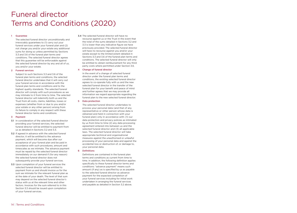#### 1 Guarantee

The selected funeral director unconditionally and irrevocably guarantees to (1) carry out your funeral services under your funeral plan and (2) not charge you and/or your estate any additional sums for doing so unless permitted by Sections 3.3 and 3.6 of the funeral plan terms and conditions. The selected funeral director agrees that this guarantee will be enforceable against the selected funeral director by any and all of us, you and/or your estate.

#### 2 Funeral services

Subject to such Sections 3.3 and 3.6 of the funeral plan terms and conditions, the selected funeral director undertakes that it will carry out your funeral services in accordance with the funeral plan terms and conditions and to the highest quality standards. The selected funeral director will comply with such procedures as we may intimate to it from time to time. The selected funeral director will indemnify both us and the Trust from all costs, claims, liabilities, losses or expenses (whether from or due to you and/or your estate or any other person) arising from its failure to comply in any respect with these funeral director terms and conditions.

#### 3 Payment

- 3.1 In consideration of the selected funeral director providing your funeral services, the selected funeral director will be entitled to payment from us as detailed in Sections 3.2 and 3.3.
- 3.2 If agreed in advance with the selected funeral director, it will be entitled to the advance payment, which will become due after our acceptance of your funeral plan and be paid in accordance with such procedures, amount and timescales as we intimate. The advance payment must be repaid by the selected funeral director immediately on our demand if (for any reason) the selected funeral director does not subsequently provide your funeral services.
- 3.3 Upon completion of your funeral services the selected funeral director will be entitled to payment from us and should invoice us for the sum we intimate for the relevant funeral plan as at the date of your death. The level of that sum may depend on the selected funeral director's status with us at the relevant time and other factors. Invoices for the sum referred to in this Section 3.3 should be issued upon completion of your funeral services.

3.4 The selected funeral director will have no recourse against us or the Trust in the event that the total of the sums detailed in Sections 3.2 and 3.3 is lower than any indicative figure we have previously provided. The selected funeral director will have no recourse against you and/or your estate except to the limited extent detailed in Sections 3.3 and 3.6 of the funeral plan terms and conditions. The selected funeral director will only be entitled to obtain reimbursement for any third party costs where permitted under Section 3.6.

#### 4 Change of funeral director

In the event of a change of selected funeral director under the funeral plan terms and conditions, the existing selected funeral director agrees to co-operate fully with us and the new selected funeral director in the transfer of the funeral plan for your benefit and peace of mind and further agrees that we may provide all information we regard appropriate regarding the funeral plan to the new selected funeral director.

#### 5 Data protection

The selected funeral director undertakes to process your personal data (and that of any representative or other person whose data is obtained and held in connection with your funeral plan) only in accordance with: (1) our data protection and privacy policies as intimated by us from time to time (2) any data processing agreement entered into between us and the selected funeral director and (3) all applicable laws. The selected funeral director will take appropriate technical and organisational measures against the unauthorised or unlawful processing of your personal data and against the accidental loss or destruction of, or damage to, your personal data.

#### 6 Definitions

Definitions are contained in the funeral plan terms and conditions as current from time to time. In addition, the following definition applies specifically to these funeral director terms and conditions: "advance payment" means such amount (if any) as is specified by us as payable to the selected funeral director as advance payment for the expected completion of your funeral services including for initial work undertaken in arranging the funeral services and payable as detailed in Section 3.2 above.

## Funeral director Terms and Conditions (2020)